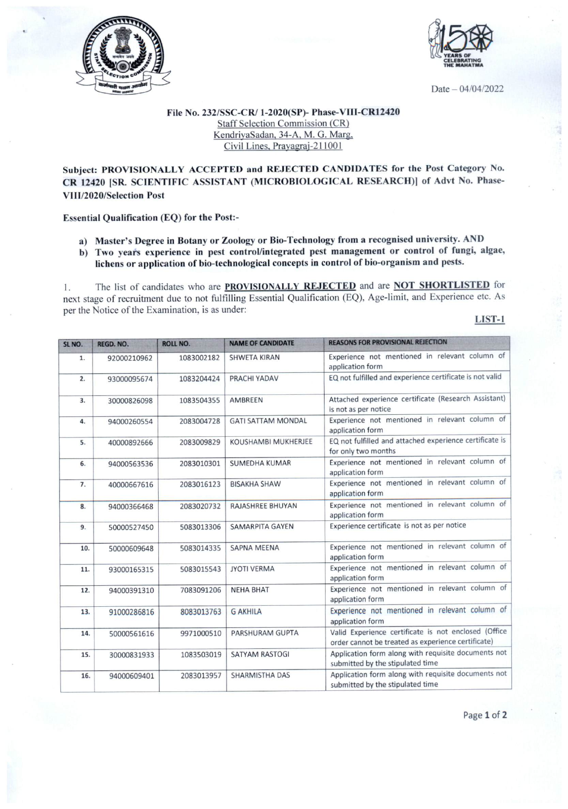



Date - 04/04/2022

## File No. 232/SSC-CR/ 1-2020(SP)- Phase-VIU-CR12420 Staff Selection Commission (CR) KendriyaSadan, 34-A, M. G. Marg. Civil Lines. Pravagrai-211001

## Subject: PROVISIONALLY ACCEPTED and REJECTED CANDIDATES for the Post Category No. CR 12420 [SR. SCIENTIFIC ASSISTANT (MICROBIOLOGICAL RESEARCH)) of Advt No. Phase-VIII/2020/SeIection Post

## Essential Qualification (EQ) for the Post:-

- a) Master's Degree in Botany or Zoology or Bio-Technology from a recognised university. AND
- b) Two years experience in pest control/integrated pest management or control of fungi, algae, lichens or application of bio-technological concepts in control of bio-organism and pests.

1. The list of candidates who are **PROVISIONALLY REJECTED** and are **NOT SHORTLISTED** for next stage of recruitment due to not fulfilling Essential Qualification (EQ), Age-limit, and Experience etc. As per the Notice of the Examination, is as under:

LlST-1

| SL NO. | REGD. NO.   | ROLL NO.   | <b>NAME OF CANDIDATE</b>  | <b>REASONS FOR PROVISIONAL REJECTION</b>                                                                   |
|--------|-------------|------------|---------------------------|------------------------------------------------------------------------------------------------------------|
| 1.     | 92000210962 | 1083002182 | <b>SHWETA KIRAN</b>       | Experience not mentioned in relevant column of<br>application form                                         |
| 2.     | 93000095674 | 1083204424 | PRACHI YADAV              | EQ not fulfilled and experience certificate is not valid                                                   |
| 3.     | 30000826098 | 1083504355 | AMBREEN                   | Attached experience certificate (Research Assistant)<br>is not as per notice                               |
| 4.     | 94000260554 | 2083004728 | <b>GATI SATTAM MONDAL</b> | Experience not mentioned in relevant column of<br>application form                                         |
| 5.     | 40000892666 | 2083009829 | KOUSHAMBI MUKHERJEE       | EQ not fulfilled and attached experience certificate is<br>for only two months                             |
| 6.     | 94000563536 | 2083010301 | <b>SUMEDHA KUMAR</b>      | Experience not mentioned in relevant column of<br>application form                                         |
| 7.     | 40000667616 | 2083016123 | <b>BISAKHA SHAW</b>       | Experience not mentioned in relevant column of<br>application form                                         |
| 8.     | 94000366468 | 2083020732 | <b>RAJASHREE BHUYAN</b>   | Experience not mentioned in relevant column of<br>application form                                         |
| 9.     | 50000527450 | 5083013306 | <b>SAMARPITA GAYEN</b>    | Experience certificate is not as per notice                                                                |
| 10.    | 50000609648 | 5083014335 | <b>SAPNA MEENA</b>        | Experience not mentioned in relevant column of<br>application form                                         |
| 11.    | 93000165315 | 5083015543 | <b>JYOTI VERMA</b>        | Experience not mentioned in relevant column of<br>application form                                         |
| 12.    | 94000391310 | 7083091206 | <b>NEHA BHAT</b>          | Experience not mentioned in relevant column of<br>application form                                         |
| 13.    | 91000286816 | 8083013763 | <b>G AKHILA</b>           | Experience not mentioned in relevant column of<br>application form                                         |
| 14.    | 50000561616 | 9971000510 | PARSHURAM GUPTA           | Valid Experience certificate is not enclosed (Office<br>order cannot be treated as experience certificate) |
| 15.    | 30000831933 | 1083503019 | <b>SATYAM RASTOGI</b>     | Application form along with requisite documents not<br>submitted by the stipulated time                    |
| 16.    | 94000609401 | 2083013957 | <b>SHARMISTHA DAS</b>     | Application form along with requisite documents not<br>submitted by the stipulated time                    |

Page 1 of 2